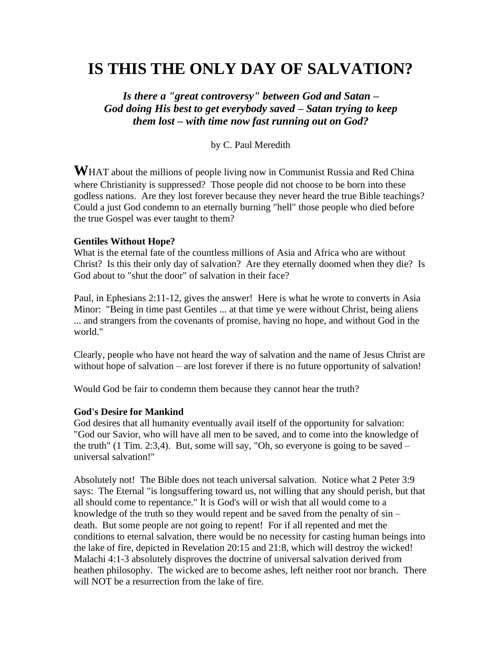# **IS THIS THE ONLY DAY OF SALVATION?**

*Is there a "great controversy" between God and Satan – God doing His best to get everybody saved – Satan trying to keep them lost – with time now fast running out on God?*

by C. Paul Meredith

**W**HAT about the millions of people living now in Communist Russia and Red China where Christianity is suppressed? Those people did not choose to be born into these godless nations. Are they lost forever because they never heard the true Bible teachings? Could a just God condemn to an eternally burning "hell" those people who died before the true Gospel was ever taught to them?

#### **Gentiles Without Hope?**

What is the eternal fate of the countless millions of Asia and Africa who are without Christ? Is this their only day of salvation? Are they eternally doomed when they die? Is God about to "shut the door" of salvation in their face?

Paul, in Ephesians 2:11-12, gives the answer! Here is what he wrote to converts in Asia Minor: "Being in time past Gentiles ... at that time ye were without Christ, being aliens ... and strangers from the covenants of promise, having no hope, and without God in the world."

Clearly, people who have not heard the way of salvation and the name of Jesus Christ are without hope of salvation – are lost forever if there is no future opportunity of salvation!

Would God be fair to condemn them because they cannot hear the truth?

#### **God's Desire for Mankind**

God desires that all humanity eventually avail itself of the opportunity for salvation: "God our Savior, who will have all men to be saved, and to come into the knowledge of the truth"  $(1$  Tim. 2:3,4). But, some will say, "Oh, so everyone is going to be saved – universal salvation!"

Absolutely not! The Bible does not teach universal salvation. Notice what 2 Peter 3:9 says: The Eternal "is longsuffering toward us, not willing that any should perish, but that all should come to repentance." It is God's will or wish that all would come to a knowledge of the truth so they would repent and be saved from the penalty of sin – death. But some people are not going to repent! For if all repented and met the conditions to eternal salvation, there would be no necessity for casting human beings into the lake of fire, depicted in Revelation 20:15 and 21:8, which will destroy the wicked! Malachi 4:1-3 absolutely disproves the doctrine of universal salvation derived from heathen philosophy. The wicked are to become ashes, left neither root nor branch. There will NOT be a resurrection from the lake of fire.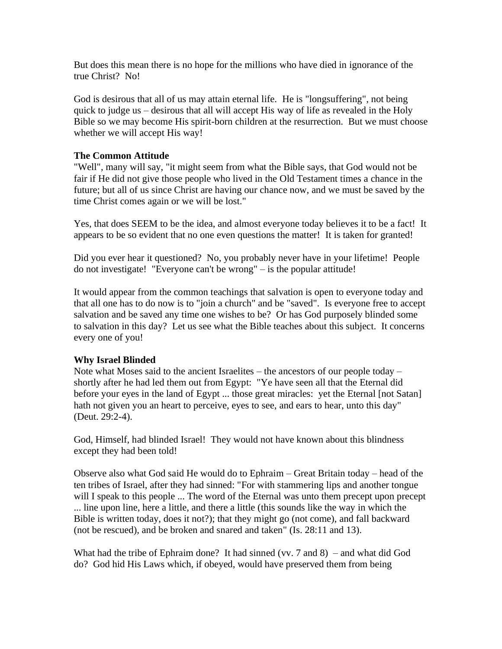But does this mean there is no hope for the millions who have died in ignorance of the true Christ? No!

God is desirous that all of us may attain eternal life. He is "longsuffering", not being quick to judge us – desirous that all will accept His way of life as revealed in the Holy Bible so we may become His spirit-born children at the resurrection. But we must choose whether we will accept His way!

# **The Common Attitude**

"Well", many will say, "it might seem from what the Bible says, that God would not be fair if He did not give those people who lived in the Old Testament times a chance in the future; but all of us since Christ are having our chance now, and we must be saved by the time Christ comes again or we will be lost."

Yes, that does SEEM to be the idea, and almost everyone today believes it to be a fact! It appears to be so evident that no one even questions the matter! It is taken for granted!

Did you ever hear it questioned? No, you probably never have in your lifetime! People do not investigate! "Everyone can't be wrong" – is the popular attitude!

It would appear from the common teachings that salvation is open to everyone today and that all one has to do now is to "join a church" and be "saved". Is everyone free to accept salvation and be saved any time one wishes to be? Or has God purposely blinded some to salvation in this day? Let us see what the Bible teaches about this subject. It concerns every one of you!

#### **Why Israel Blinded**

Note what Moses said to the ancient Israelites – the ancestors of our people today – shortly after he had led them out from Egypt: "Ye have seen all that the Eternal did before your eyes in the land of Egypt ... those great miracles: yet the Eternal [not Satan] hath not given you an heart to perceive, eyes to see, and ears to hear, unto this day" (Deut. 29:2-4).

God, Himself, had blinded Israel! They would not have known about this blindness except they had been told!

Observe also what God said He would do to Ephraim – Great Britain today – head of the ten tribes of Israel, after they had sinned: "For with stammering lips and another tongue will I speak to this people ... The word of the Eternal was unto them precept upon precept ... line upon line, here a little, and there a little (this sounds like the way in which the Bible is written today, does it not?); that they might go (not come), and fall backward (not be rescued), and be broken and snared and taken" (Is. 28:11 and 13).

What had the tribe of Ephraim done? It had sinned (vv.  $7$  and  $8$ ) – and what did God do? God hid His Laws which, if obeyed, would have preserved them from being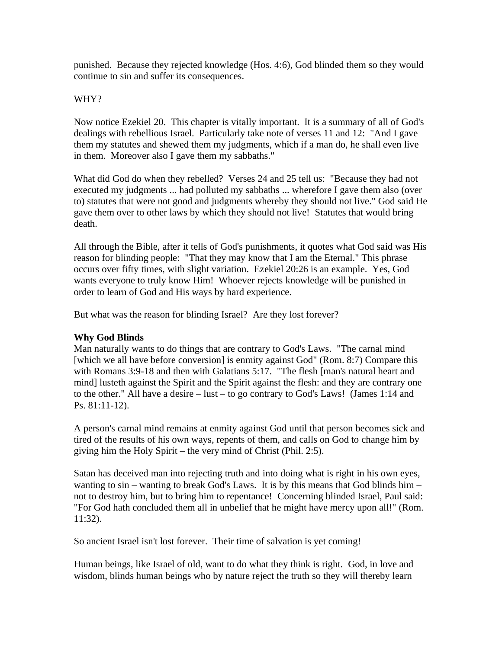punished. Because they rejected knowledge (Hos. 4:6), God blinded them so they would continue to sin and suffer its consequences.

# WHY?

Now notice Ezekiel 20. This chapter is vitally important. It is a summary of all of God's dealings with rebellious Israel. Particularly take note of verses 11 and 12: "And I gave them my statutes and shewed them my judgments, which if a man do, he shall even live in them. Moreover also I gave them my sabbaths."

What did God do when they rebelled? Verses 24 and 25 tell us: "Because they had not executed my judgments ... had polluted my sabbaths ... wherefore I gave them also (over to) statutes that were not good and judgments whereby they should not live." God said He gave them over to other laws by which they should not live! Statutes that would bring death.

All through the Bible, after it tells of God's punishments, it quotes what God said was His reason for blinding people: "That they may know that I am the Eternal." This phrase occurs over fifty times, with slight variation. Ezekiel 20:26 is an example. Yes, God wants everyone to truly know Him! Whoever rejects knowledge will be punished in order to learn of God and His ways by hard experience.

But what was the reason for blinding Israel? Are they lost forever?

# **Why God Blinds**

Man naturally wants to do things that are contrary to God's Laws. "The carnal mind [which we all have before conversion] is enmity against God" (Rom. 8:7) Compare this with Romans 3:9-18 and then with Galatians 5:17. "The flesh [man's natural heart and mind] lusteth against the Spirit and the Spirit against the flesh: and they are contrary one to the other." All have a desire – lust – to go contrary to God's Laws! (James 1:14 and Ps. 81:11-12).

A person's carnal mind remains at enmity against God until that person becomes sick and tired of the results of his own ways, repents of them, and calls on God to change him by giving him the Holy Spirit – the very mind of Christ (Phil. 2:5).

Satan has deceived man into rejecting truth and into doing what is right in his own eyes, wanting to sin – wanting to break God's Laws. It is by this means that God blinds him – not to destroy him, but to bring him to repentance! Concerning blinded Israel, Paul said: "For God hath concluded them all in unbelief that he might have mercy upon all!" (Rom. 11:32).

So ancient Israel isn't lost forever. Their time of salvation is yet coming!

Human beings, like Israel of old, want to do what they think is right. God, in love and wisdom, blinds human beings who by nature reject the truth so they will thereby learn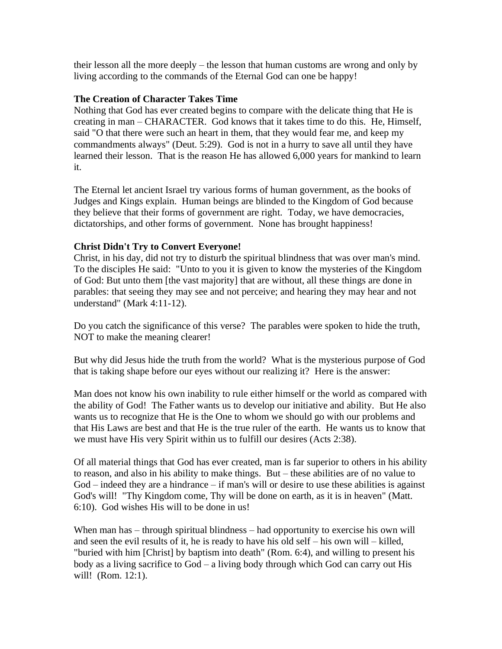their lesson all the more deeply – the lesson that human customs are wrong and only by living according to the commands of the Eternal God can one be happy!

# **The Creation of Character Takes Time**

Nothing that God has ever created begins to compare with the delicate thing that He is creating in man – CHARACTER. God knows that it takes time to do this. He, Himself, said "O that there were such an heart in them, that they would fear me, and keep my commandments always" (Deut. 5:29). God is not in a hurry to save all until they have learned their lesson. That is the reason He has allowed 6,000 years for mankind to learn it.

The Eternal let ancient Israel try various forms of human government, as the books of Judges and Kings explain. Human beings are blinded to the Kingdom of God because they believe that their forms of government are right. Today, we have democracies, dictatorships, and other forms of government. None has brought happiness!

# **Christ Didn't Try to Convert Everyone!**

Christ, in his day, did not try to disturb the spiritual blindness that was over man's mind. To the disciples He said: "Unto to you it is given to know the mysteries of the Kingdom of God: But unto them [the vast majority] that are without, all these things are done in parables: that seeing they may see and not perceive; and hearing they may hear and not understand" (Mark 4:11-12).

Do you catch the significance of this verse? The parables were spoken to hide the truth, NOT to make the meaning clearer!

But why did Jesus hide the truth from the world? What is the mysterious purpose of God that is taking shape before our eyes without our realizing it? Here is the answer:

Man does not know his own inability to rule either himself or the world as compared with the ability of God! The Father wants us to develop our initiative and ability. But He also wants us to recognize that He is the One to whom we should go with our problems and that His Laws are best and that He is the true ruler of the earth. He wants us to know that we must have His very Spirit within us to fulfill our desires (Acts 2:38).

Of all material things that God has ever created, man is far superior to others in his ability to reason, and also in his ability to make things. But – these abilities are of no value to God – indeed they are a hindrance – if man's will or desire to use these abilities is against God's will! "Thy Kingdom come, Thy will be done on earth, as it is in heaven" (Matt. 6:10). God wishes His will to be done in us!

When man has – through spiritual blindness – had opportunity to exercise his own will and seen the evil results of it, he is ready to have his old self – his own will – killed, "buried with him [Christ] by baptism into death" (Rom. 6:4), and willing to present his body as a living sacrifice to God – a living body through which God can carry out His will! (Rom. 12:1).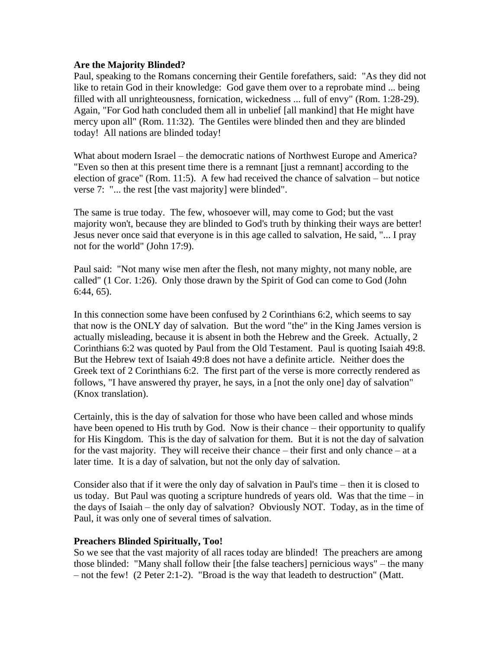#### **Are the Majority Blinded?**

Paul, speaking to the Romans concerning their Gentile forefathers, said: "As they did not like to retain God in their knowledge: God gave them over to a reprobate mind ... being filled with all unrighteousness, fornication, wickedness ... full of envy" (Rom. 1:28-29). Again, "For God hath concluded them all in unbelief [all mankind] that He might have mercy upon all" (Rom. 11:32). The Gentiles were blinded then and they are blinded today! All nations are blinded today!

What about modern Israel – the democratic nations of Northwest Europe and America? "Even so then at this present time there is a remnant [just a remnant] according to the election of grace" (Rom. 11:5). A few had received the chance of salvation – but notice verse 7: "... the rest [the vast majority] were blinded".

The same is true today. The few, whosoever will, may come to God; but the vast majority won't, because they are blinded to God's truth by thinking their ways are better! Jesus never once said that everyone is in this age called to salvation, He said, "... I pray not for the world" (John 17:9).

Paul said: "Not many wise men after the flesh, not many mighty, not many noble, are called" (1 Cor. 1:26). Only those drawn by the Spirit of God can come to God (John 6:44, 65).

In this connection some have been confused by 2 Corinthians 6:2, which seems to say that now is the ONLY day of salvation. But the word "the" in the King James version is actually misleading, because it is absent in both the Hebrew and the Greek. Actually, 2 Corinthians 6:2 was quoted by Paul from the Old Testament. Paul is quoting Isaiah 49:8. But the Hebrew text of Isaiah 49:8 does not have a definite article. Neither does the Greek text of 2 Corinthians 6:2. The first part of the verse is more correctly rendered as follows, "I have answered thy prayer, he says, in a [not the only one] day of salvation" (Knox translation).

Certainly, this is the day of salvation for those who have been called and whose minds have been opened to His truth by God. Now is their chance – their opportunity to qualify for His Kingdom. This is the day of salvation for them. But it is not the day of salvation for the vast majority. They will receive their chance – their first and only chance – at a later time. It is a day of salvation, but not the only day of salvation.

Consider also that if it were the only day of salvation in Paul's time – then it is closed to us today. But Paul was quoting a scripture hundreds of years old. Was that the time  $-$  in the days of Isaiah – the only day of salvation? Obviously NOT. Today, as in the time of Paul, it was only one of several times of salvation.

#### **Preachers Blinded Spiritually, Too!**

So we see that the vast majority of all races today are blinded! The preachers are among those blinded: "Many shall follow their [the false teachers] pernicious ways" – the many – not the few! (2 Peter 2:1-2). "Broad is the way that leadeth to destruction" (Matt.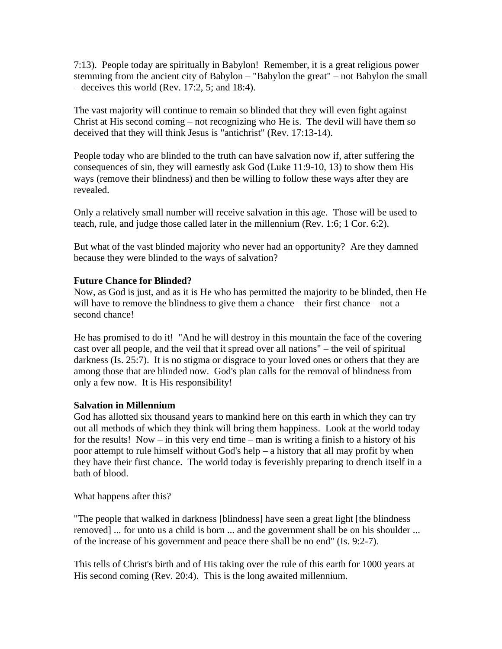7:13). People today are spiritually in Babylon! Remember, it is a great religious power stemming from the ancient city of Babylon – "Babylon the great" – not Babylon the small – deceives this world (Rev. 17:2, 5; and 18:4).

The vast majority will continue to remain so blinded that they will even fight against Christ at His second coming – not recognizing who He is. The devil will have them so deceived that they will think Jesus is "antichrist" (Rev. 17:13-14).

People today who are blinded to the truth can have salvation now if, after suffering the consequences of sin, they will earnestly ask God (Luke 11:9-10, 13) to show them His ways (remove their blindness) and then be willing to follow these ways after they are revealed.

Only a relatively small number will receive salvation in this age. Those will be used to teach, rule, and judge those called later in the millennium (Rev. 1:6; 1 Cor. 6:2).

But what of the vast blinded majority who never had an opportunity? Are they damned because they were blinded to the ways of salvation?

# **Future Chance for Blinded?**

Now, as God is just, and as it is He who has permitted the majority to be blinded, then He will have to remove the blindness to give them a chance – their first chance – not a second chance!

He has promised to do it! "And he will destroy in this mountain the face of the covering cast over all people, and the veil that it spread over all nations" – the veil of spiritual darkness (Is. 25:7). It is no stigma or disgrace to your loved ones or others that they are among those that are blinded now. God's plan calls for the removal of blindness from only a few now. It is His responsibility!

# **Salvation in Millennium**

God has allotted six thousand years to mankind here on this earth in which they can try out all methods of which they think will bring them happiness. Look at the world today for the results! Now – in this very end time – man is writing a finish to a history of his poor attempt to rule himself without God's help – a history that all may profit by when they have their first chance. The world today is feverishly preparing to drench itself in a bath of blood.

What happens after this?

"The people that walked in darkness [blindness] have seen a great light [the blindness removed] ... for unto us a child is born ... and the government shall be on his shoulder ... of the increase of his government and peace there shall be no end" (Is. 9:2-7).

This tells of Christ's birth and of His taking over the rule of this earth for 1000 years at His second coming (Rev. 20:4). This is the long awaited millennium.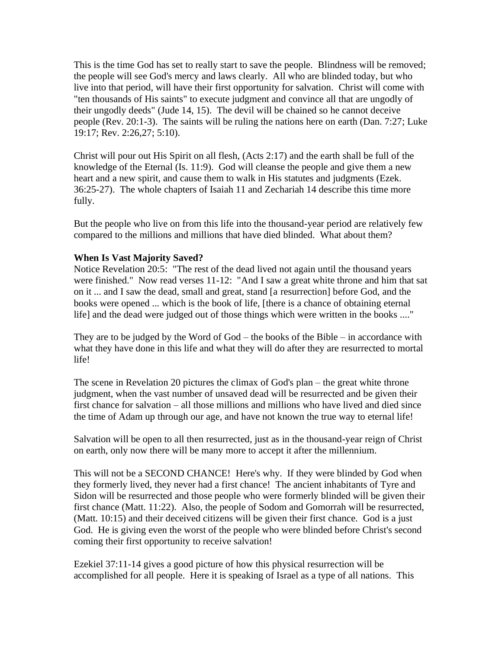This is the time God has set to really start to save the people. Blindness will be removed; the people will see God's mercy and laws clearly. All who are blinded today, but who live into that period, will have their first opportunity for salvation. Christ will come with "ten thousands of His saints" to execute judgment and convince all that are ungodly of their ungodly deeds" (Jude 14, 15). The devil will be chained so he cannot deceive people (Rev. 20:1-3). The saints will be ruling the nations here on earth (Dan. 7:27; Luke 19:17; Rev. 2:26,27; 5:10).

Christ will pour out His Spirit on all flesh, (Acts 2:17) and the earth shall be full of the knowledge of the Eternal (Is. 11:9). God will cleanse the people and give them a new heart and a new spirit, and cause them to walk in His statutes and judgments (Ezek. 36:25-27). The whole chapters of Isaiah 11 and Zechariah 14 describe this time more fully.

But the people who live on from this life into the thousand-year period are relatively few compared to the millions and millions that have died blinded. What about them?

#### **When Is Vast Majority Saved?**

Notice Revelation 20:5: "The rest of the dead lived not again until the thousand years were finished." Now read verses 11-12: "And I saw a great white throne and him that sat on it ... and I saw the dead, small and great, stand [a resurrection] before God, and the books were opened ... which is the book of life, [there is a chance of obtaining eternal life] and the dead were judged out of those things which were written in the books ...."

They are to be judged by the Word of God – the books of the Bible – in accordance with what they have done in this life and what they will do after they are resurrected to mortal life!

The scene in Revelation 20 pictures the climax of God's plan – the great white throne judgment, when the vast number of unsaved dead will be resurrected and be given their first chance for salvation – all those millions and millions who have lived and died since the time of Adam up through our age, and have not known the true way to eternal life!

Salvation will be open to all then resurrected, just as in the thousand-year reign of Christ on earth, only now there will be many more to accept it after the millennium.

This will not be a SECOND CHANCE! Here's why. If they were blinded by God when they formerly lived, they never had a first chance! The ancient inhabitants of Tyre and Sidon will be resurrected and those people who were formerly blinded will be given their first chance (Matt. 11:22). Also, the people of Sodom and Gomorrah will be resurrected, (Matt. 10:15) and their deceived citizens will be given their first chance. God is a just God. He is giving even the worst of the people who were blinded before Christ's second coming their first opportunity to receive salvation!

Ezekiel 37:11-14 gives a good picture of how this physical resurrection will be accomplished for all people. Here it is speaking of Israel as a type of all nations. This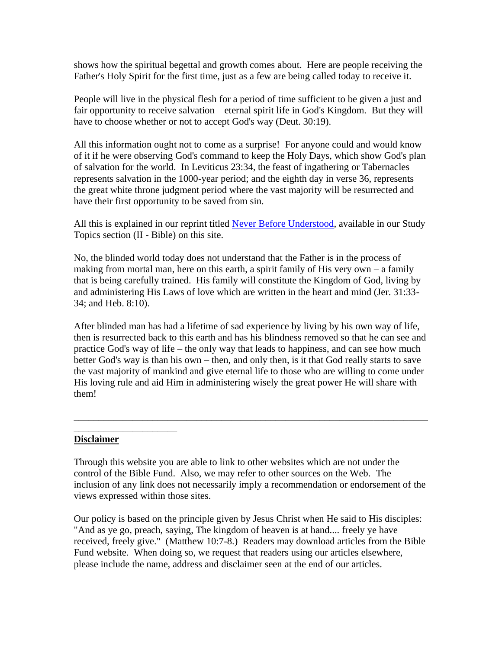shows how the spiritual begettal and growth comes about. Here are people receiving the Father's Holy Spirit for the first time, just as a few are being called today to receive it.

People will live in the physical flesh for a period of time sufficient to be given a just and fair opportunity to receive salvation – eternal spirit life in God's Kingdom. But they will have to choose whether or not to accept God's way (Deut. 30:19).

All this information ought not to come as a surprise! For anyone could and would know of it if he were observing God's command to keep the Holy Days, which show God's plan of salvation for the world. In Leviticus 23:34, the feast of ingathering or Tabernacles represents salvation in the 1000-year period; and the eighth day in verse 36, represents the great white throne judgment period where the vast majority will be resurrected and have their first opportunity to be saved from sin.

All this is explained in our reprint titled [Never Before Understood,](http://biblefund.org/never_before_understood.htm) available in our Study Topics section (II - Bible) on this site.

No, the blinded world today does not understand that the Father is in the process of making from mortal man, here on this earth, a spirit family of His very own  $-$  a family that is being carefully trained. His family will constitute the Kingdom of God, living by and administering His Laws of love which are written in the heart and mind (Jer. 31:33- 34; and Heb. 8:10).

After blinded man has had a lifetime of sad experience by living by his own way of life, then is resurrected back to this earth and has his blindness removed so that he can see and practice God's way of life – the only way that leads to happiness, and can see how much better God's way is than his own – then, and only then, is it that God really starts to save the vast majority of mankind and give eternal life to those who are willing to come under His loving rule and aid Him in administering wisely the great power He will share with them!

\_\_\_\_\_\_\_\_\_\_\_\_\_\_\_\_\_\_\_\_\_\_\_\_\_\_\_\_\_\_\_\_\_\_\_\_\_\_\_\_\_\_\_\_\_\_\_\_\_\_\_\_\_\_\_\_\_\_\_\_\_\_\_\_\_\_\_\_\_\_\_\_

#### **Disclaimer**

\_\_\_\_\_\_\_\_\_\_\_\_\_\_\_\_\_\_\_\_\_

Through this website you are able to link to other websites which are not under the control of the Bible Fund. Also, we may refer to other sources on the Web. The inclusion of any link does not necessarily imply a recommendation or endorsement of the views expressed within those sites.

Our policy is based on the principle given by Jesus Christ when He said to His disciples: "And as ye go, preach, saying, The kingdom of heaven is at hand.... freely ye have received, freely give." (Matthew 10:7-8.) Readers may download articles from the Bible Fund website. When doing so, we request that readers using our articles elsewhere, please include the name, address and disclaimer seen at the end of our articles.